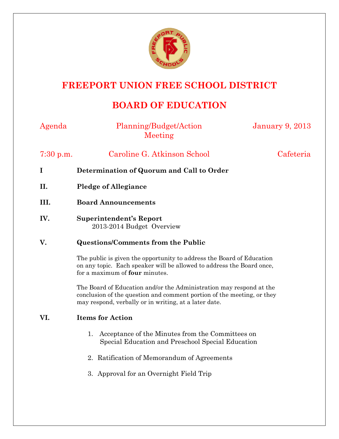

# **FREEPORT UNION FREE SCHOOL DISTRICT**

## **BOARD OF EDUCATION**

| Agenda      | Planning/Budget/Action<br>Meeting                                                                                                                                                                      | <b>January 9, 2013</b> |
|-------------|--------------------------------------------------------------------------------------------------------------------------------------------------------------------------------------------------------|------------------------|
| 7:30 p.m.   | Caroline G. Atkinson School                                                                                                                                                                            | Cafeteria              |
| $\mathbf I$ | Determination of Quorum and Call to Order                                                                                                                                                              |                        |
| II.         | <b>Pledge of Allegiance</b>                                                                                                                                                                            |                        |
| III.        | <b>Board Announcements</b>                                                                                                                                                                             |                        |
| IV.         | <b>Superintendent's Report</b><br>2013-2014 Budget Overview                                                                                                                                            |                        |
| V.          | <b>Questions/Comments from the Public</b>                                                                                                                                                              |                        |
|             | The public is given the opportunity to address the Board of Education<br>on any topic. Each speaker will be allowed to address the Board once,<br>for a maximum of four minutes.                       |                        |
|             | The Board of Education and/or the Administration may respond at the<br>conclusion of the question and comment portion of the meeting, or they<br>may respond, verbally or in writing, at a later date. |                        |
| VI.         | <b>Items for Action</b>                                                                                                                                                                                |                        |
|             | Acceptance of the Minutes from the Committees on<br>1.<br>Special Education and Preschool Special Education                                                                                            |                        |
|             | Ratification of Memorandum of Agreements<br>2.                                                                                                                                                         |                        |
|             | 3. Approval for an Overnight Field Trip                                                                                                                                                                |                        |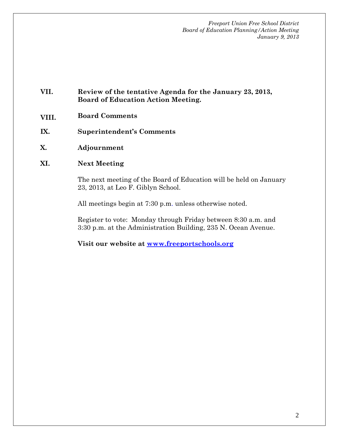*Freeport Union Free School District Board of Education Planning/Action Meeting January 9, 2013* 

## **VII. Review of the tentative Agenda for the January 23, 2013, Board of Education Action Meeting.**

- **VIII. Board Comments**
- **IX. Superintendent's Comments**
- **X. Adjournment**
- **XI. Next Meeting**

The next meeting of the Board of Education will be held on January 23, 2013, at Leo F. Giblyn School.

All meetings begin at 7:30 p.m. unless otherwise noted.

Register to vote: Monday through Friday between 8:30 a.m. and 3:30 p.m. at the Administration Building, 235 N. Ocean Avenue.

**Visit our website at www.freeportschools.org**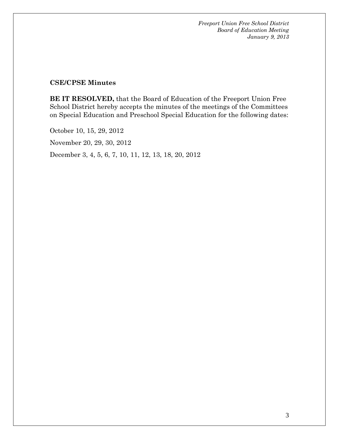*Freeport Union Free School District Board of Education Meeting January 9, 2013* 

#### **CSE/CPSE Minutes**

**BE IT RESOLVED,** that the Board of Education of the Freeport Union Free School District hereby accepts the minutes of the meetings of the Committees on Special Education and Preschool Special Education for the following dates:

October 10, 15, 29, 2012

November 20, 29, 30, 2012

December 3, 4, 5, 6, 7, 10, 11, 12, 13, 18, 20, 2012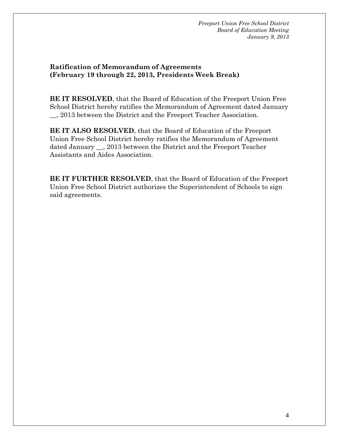*Freeport Union Free School District Board of Education Meeting January 9, 2013* 

#### **Ratification of Memorandum of Agreements (February 19 through 22, 2013, Presidents Week Break)**

**BE IT RESOLVED**, that the Board of Education of the Freeport Union Free School District hereby ratifies the Memorandum of Agreement dated January \_\_, 2013 between the District and the Freeport Teacher Association.

**BE IT ALSO RESOLVED**, that the Board of Education of the Freeport Union Free School District hereby ratifies the Memorandum of Agreement dated January \_\_, 2013 between the District and the Freeport Teacher Assistants and Aides Association.

**BE IT FURTHER RESOLVED**, that the Board of Education of the Freeport Union Free School District authorizes the Superintendent of Schools to sign said agreements.